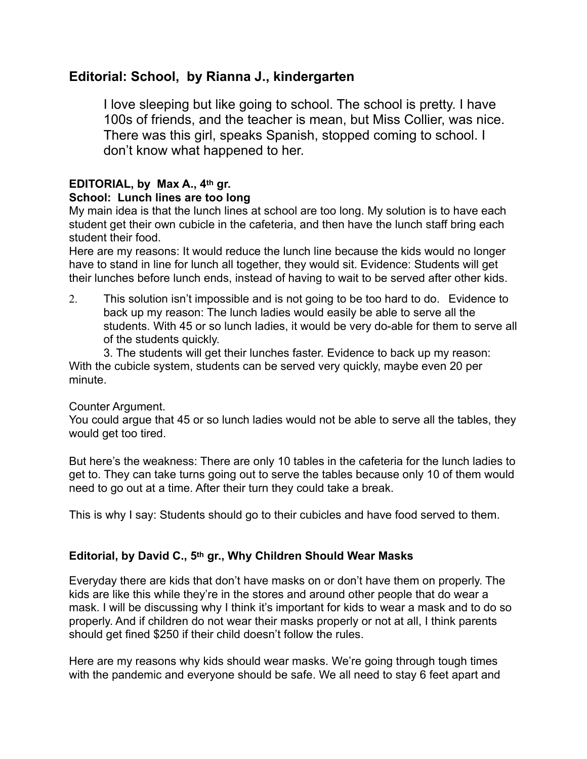# **Editorial: School, by Rianna J., kindergarten**

I love sleeping but like going to school. The school is pretty. I have 100s of friends, and the teacher is mean, but Miss Collier, was nice. There was this girl, speaks Spanish, stopped coming to school. I don't know what happened to her.

#### **EDITORIAL, by Max A., 4th gr. School: Lunch lines are too long**

My main idea is that the lunch lines at school are too long. My solution is to have each student get their own cubicle in the cafeteria, and then have the lunch staff bring each student their food.

Here are my reasons: It would reduce the lunch line because the kids would no longer have to stand in line for lunch all together, they would sit. Evidence: Students will get their lunches before lunch ends, instead of having to wait to be served after other kids.

2. This solution isn't impossible and is not going to be too hard to do. Evidence to back up my reason: The lunch ladies would easily be able to serve all the students. With 45 or so lunch ladies, it would be very do-able for them to serve all of the students quickly.

3. The students will get their lunches faster. Evidence to back up my reason: With the cubicle system, students can be served very quickly, maybe even 20 per minute.

#### Counter Argument.

You could argue that 45 or so lunch ladies would not be able to serve all the tables, they would get too tired.

But here's the weakness: There are only 10 tables in the cafeteria for the lunch ladies to get to. They can take turns going out to serve the tables because only 10 of them would need to go out at a time. After their turn they could take a break.

This is why I say: Students should go to their cubicles and have food served to them.

## **Editorial, by David C., 5th gr., Why Children Should Wear Masks**

Everyday there are kids that don't have masks on or don't have them on properly. The kids are like this while they're in the stores and around other people that do wear a mask. I will be discussing why I think it's important for kids to wear a mask and to do so properly. And if children do not wear their masks properly or not at all, I think parents should get fined \$250 if their child doesn't follow the rules.

Here are my reasons why kids should wear masks. We're going through tough times with the pandemic and everyone should be safe. We all need to stay 6 feet apart and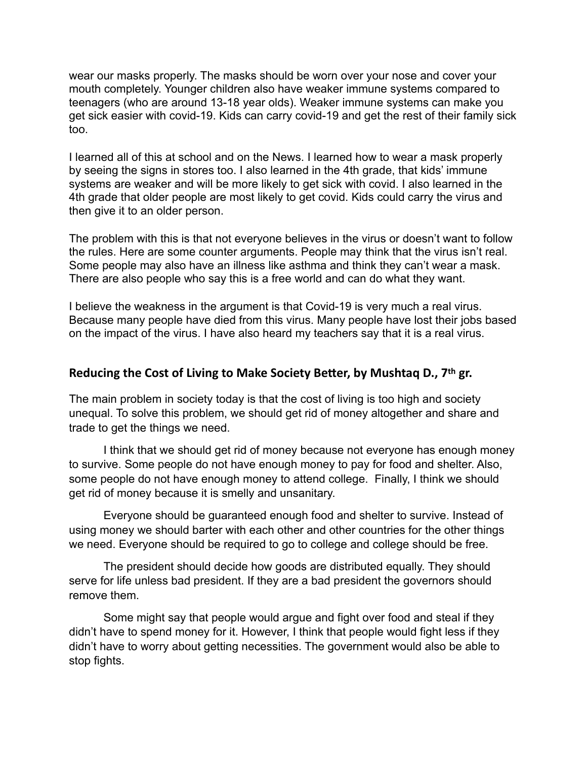wear our masks properly. The masks should be worn over your nose and cover your mouth completely. Younger children also have weaker immune systems compared to teenagers (who are around 13-18 year olds). Weaker immune systems can make you get sick easier with covid-19. Kids can carry covid-19 and get the rest of their family sick too.

I learned all of this at school and on the News. I learned how to wear a mask properly by seeing the signs in stores too. I also learned in the 4th grade, that kids' immune systems are weaker and will be more likely to get sick with covid. I also learned in the 4th grade that older people are most likely to get covid. Kids could carry the virus and then give it to an older person.

The problem with this is that not everyone believes in the virus or doesn't want to follow the rules. Here are some counter arguments. People may think that the virus isn't real. Some people may also have an illness like asthma and think they can't wear a mask. There are also people who say this is a free world and can do what they want.

I believe the weakness in the argument is that Covid-19 is very much a real virus. Because many people have died from this virus. Many people have lost their jobs based on the impact of the virus. I have also heard my teachers say that it is a real virus.

#### **Reducing the Cost of Living to Make Society Better, by Mushtaq D., 7th gr.**

The main problem in society today is that the cost of living is too high and society unequal. To solve this problem, we should get rid of money altogether and share and trade to get the things we need.

I think that we should get rid of money because not everyone has enough money to survive. Some people do not have enough money to pay for food and shelter. Also, some people do not have enough money to attend college. Finally, I think we should get rid of money because it is smelly and unsanitary.

Everyone should be guaranteed enough food and shelter to survive. Instead of using money we should barter with each other and other countries for the other things we need. Everyone should be required to go to college and college should be free.

The president should decide how goods are distributed equally. They should serve for life unless bad president. If they are a bad president the governors should remove them.

Some might say that people would argue and fight over food and steal if they didn't have to spend money for it. However, I think that people would fight less if they didn't have to worry about getting necessities. The government would also be able to stop fights.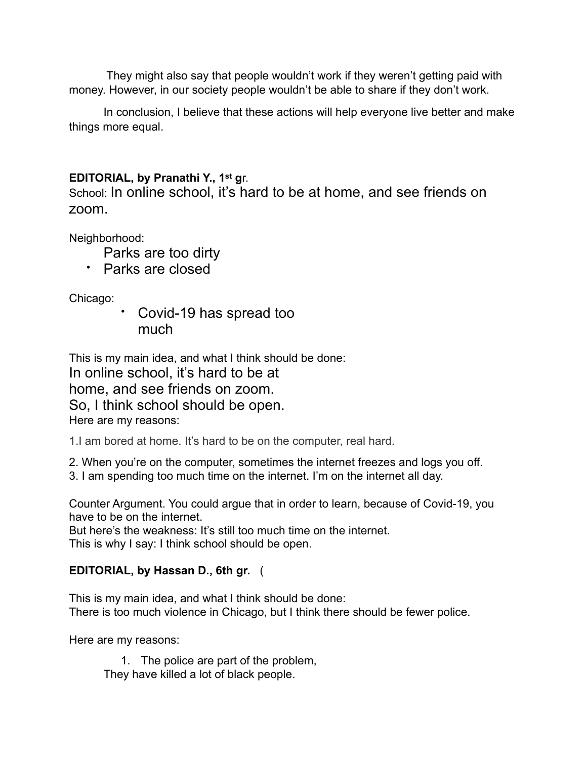They might also say that people wouldn't work if they weren't getting paid with money. However, in our society people wouldn't be able to share if they don't work.

In conclusion, I believe that these actions will help everyone live better and make things more equal.

# **EDITORIAL, by Pranathi Y., 1st g**r.

School: In online school, it's hard to be at home, and see friends on zoom.

Neighborhood:

- Parks are too dirty
- Parks are closed

Chicago:

• Covid-19 has spread too much

This is my main idea, and what I think should be done: In online school, it's hard to be at home, and see friends on zoom. So, I think school should be open. Here are my reasons:

1.I am bored at home. It's hard to be on the computer, real hard.

2. When you're on the computer, sometimes the internet freezes and logs you off.

3. I am spending too much time on the internet. I'm on the internet all day.

Counter Argument. You could argue that in order to learn, because of Covid-19, you have to be on the internet.

But here's the weakness: It's still too much time on the internet. This is why I say: I think school should be open.

## **EDITORIAL, by Hassan D., 6th gr.** (

This is my main idea, and what I think should be done: There is too much violence in Chicago, but I think there should be fewer police.

Here are my reasons:

1. The police are part of the problem, They have killed a lot of black people.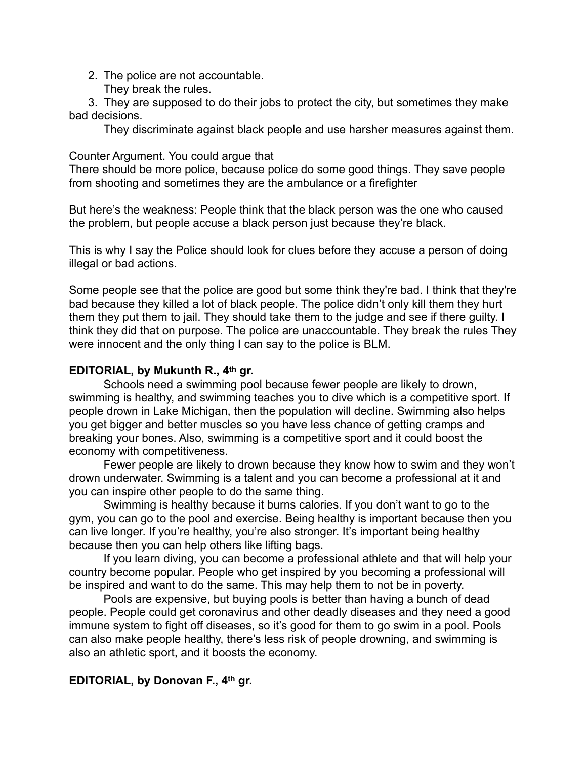2. The police are not accountable. They break the rules.

 3. They are supposed to do their jobs to protect the city, but sometimes they make bad decisions.

They discriminate against black people and use harsher measures against them.

Counter Argument. You could argue that

There should be more police, because police do some good things. They save people from shooting and sometimes they are the ambulance or a firefighter

But here's the weakness: People think that the black person was the one who caused the problem, but people accuse a black person just because they're black.

This is why I say the Police should look for clues before they accuse a person of doing illegal or bad actions.

Some people see that the police are good but some think they're bad. I think that they're bad because they killed a lot of black people. The police didn't only kill them they hurt them they put them to jail. They should take them to the judge and see if there guilty. I think they did that on purpose. The police are unaccountable. They break the rules They were innocent and the only thing I can say to the police is BLM.

## **EDITORIAL, by Mukunth R., 4th gr.**

Schools need a swimming pool because fewer people are likely to drown, swimming is healthy, and swimming teaches you to dive which is a competitive sport. If people drown in Lake Michigan, then the population will decline. Swimming also helps you get bigger and better muscles so you have less chance of getting cramps and breaking your bones. Also, swimming is a competitive sport and it could boost the economy with competitiveness.

Fewer people are likely to drown because they know how to swim and they won't drown underwater. Swimming is a talent and you can become a professional at it and you can inspire other people to do the same thing.

Swimming is healthy because it burns calories. If you don't want to go to the gym, you can go to the pool and exercise. Being healthy is important because then you can live longer. If you're healthy, you're also stronger. It's important being healthy because then you can help others like lifting bags.

If you learn diving, you can become a professional athlete and that will help your country become popular. People who get inspired by you becoming a professional will be inspired and want to do the same. This may help them to not be in poverty.

Pools are expensive, but buying pools is better than having a bunch of dead people. People could get coronavirus and other deadly diseases and they need a good immune system to fight off diseases, so it's good for them to go swim in a pool. Pools can also make people healthy, there's less risk of people drowning, and swimming is also an athletic sport, and it boosts the economy.

## **EDITORIAL, by Donovan F., 4th gr.**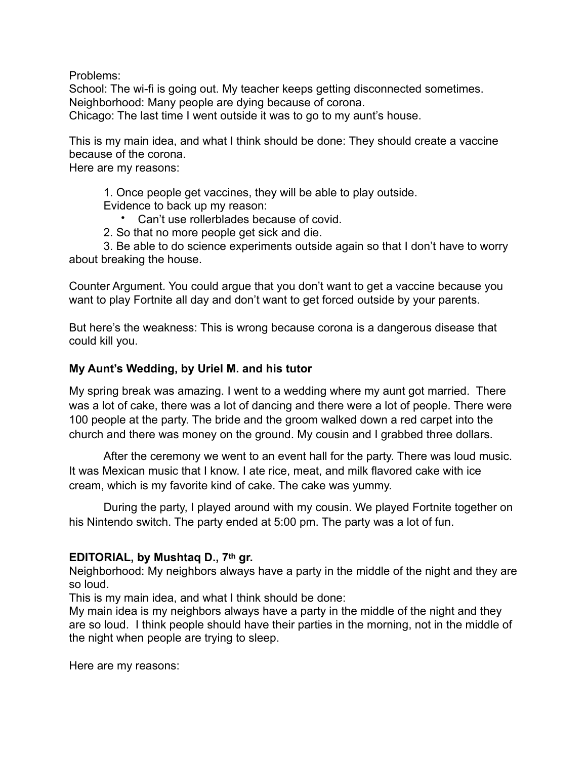Problems:

School: The wi-fi is going out. My teacher keeps getting disconnected sometimes. Neighborhood: Many people are dying because of corona.

Chicago: The last time I went outside it was to go to my aunt's house.

This is my main idea, and what I think should be done: They should create a vaccine because of the corona.

Here are my reasons:

1. Once people get vaccines, they will be able to play outside.

Evidence to back up my reason:

- Can't use rollerblades because of covid.
- 2. So that no more people get sick and die.

3. Be able to do science experiments outside again so that I don't have to worry about breaking the house.

Counter Argument. You could argue that you don't want to get a vaccine because you want to play Fortnite all day and don't want to get forced outside by your parents.

But here's the weakness: This is wrong because corona is a dangerous disease that could kill you.

## **My Aunt's Wedding, by Uriel M. and his tutor**

My spring break was amazing. I went to a wedding where my aunt got married. There was a lot of cake, there was a lot of dancing and there were a lot of people. There were 100 people at the party. The bride and the groom walked down a red carpet into the church and there was money on the ground. My cousin and I grabbed three dollars.

After the ceremony we went to an event hall for the party. There was loud music. It was Mexican music that I know. I ate rice, meat, and milk flavored cake with ice cream, which is my favorite kind of cake. The cake was yummy.

During the party, I played around with my cousin. We played Fortnite together on his Nintendo switch. The party ended at 5:00 pm. The party was a lot of fun.

## **EDITORIAL, by Mushtaq D., 7th gr.**

Neighborhood: My neighbors always have a party in the middle of the night and they are so loud.

This is my main idea, and what I think should be done:

My main idea is my neighbors always have a party in the middle of the night and they are so loud. I think people should have their parties in the morning, not in the middle of the night when people are trying to sleep.

Here are my reasons: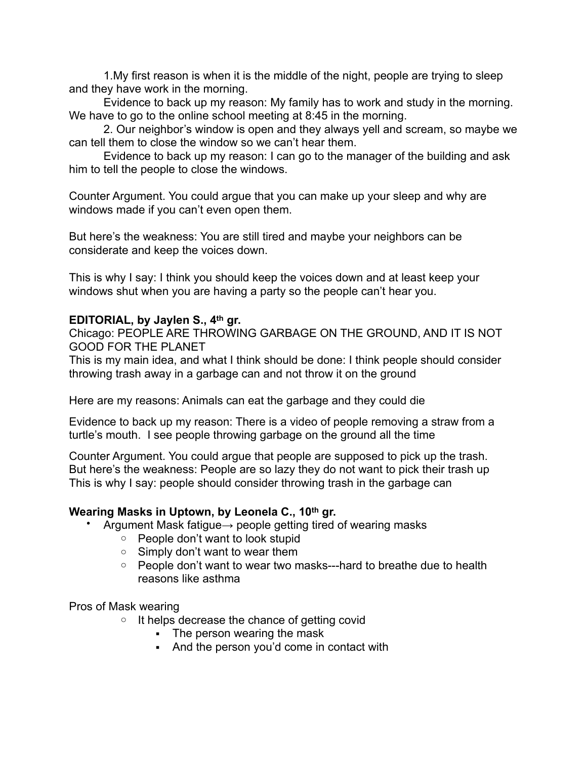1.My first reason is when it is the middle of the night, people are trying to sleep and they have work in the morning.

Evidence to back up my reason: My family has to work and study in the morning. We have to go to the online school meeting at 8:45 in the morning.

2. Our neighbor's window is open and they always yell and scream, so maybe we can tell them to close the window so we can't hear them.

Evidence to back up my reason: I can go to the manager of the building and ask him to tell the people to close the windows.

Counter Argument. You could argue that you can make up your sleep and why are windows made if you can't even open them.

But here's the weakness: You are still tired and maybe your neighbors can be considerate and keep the voices down.

This is why I say: I think you should keep the voices down and at least keep your windows shut when you are having a party so the people can't hear you.

#### **EDITORIAL, by Jaylen S., 4th gr.**

Chicago: PEOPLE ARE THROWING GARBAGE ON THE GROUND, AND IT IS NOT GOOD FOR THE PLANET

This is my main idea, and what I think should be done: I think people should consider throwing trash away in a garbage can and not throw it on the ground

Here are my reasons: Animals can eat the garbage and they could die

Evidence to back up my reason: There is a video of people removing a straw from a turtle's mouth. I see people throwing garbage on the ground all the time

Counter Argument. You could argue that people are supposed to pick up the trash. But here's the weakness: People are so lazy they do not want to pick their trash up This is why I say: people should consider throwing trash in the garbage can

#### **Wearing Masks in Uptown, by Leonela C., 10th gr.**

- Argument Mask fatigue $\rightarrow$  people getting tired of wearing masks
	- o People don't want to look stupid
	- $\circ$  Simply don't want to wear them
	- People don't want to wear two masks---hard to breathe due to health reasons like asthma

Pros of Mask wearing

- $\circ$  It helps decrease the chance of getting covid
	- The person wearing the mask
	- And the person you'd come in contact with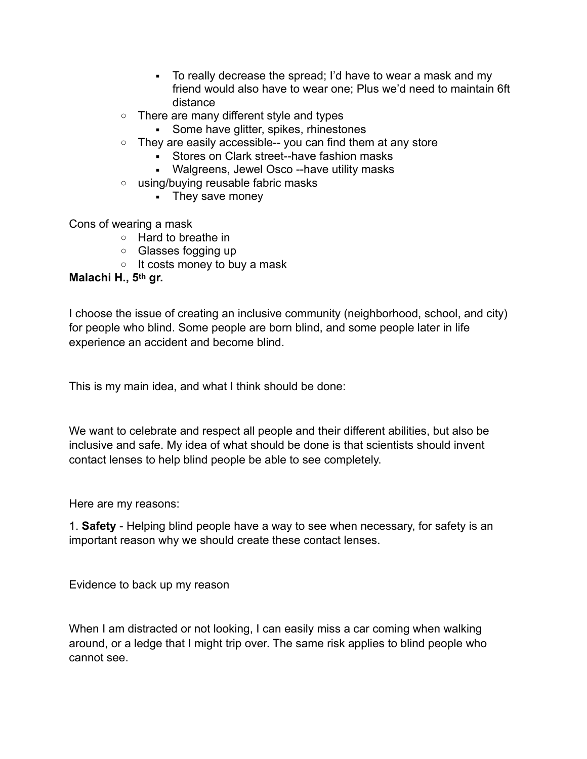- To really decrease the spread; I'd have to wear a mask and my friend would also have to wear one; Plus we'd need to maintain 6ft distance
- o There are many different style and types
	- **•** Some have glitter, spikes, rhinestones
- $\circ$  They are easily accessible-- you can find them at any store
	- Stores on Clark street--have fashion masks
	- Walgreens, Jewel Osco --have utility masks
- o using/buying reusable fabric masks
	- They save money

Cons of wearing a mask

- o Hard to breathe in
- o Glasses fogging up
- $\circ$  It costs money to buy a mask

## **Malachi H., 5th gr.**

I choose the issue of creating an inclusive community (neighborhood, school, and city) for people who blind. Some people are born blind, and some people later in life experience an accident and become blind.

This is my main idea, and what I think should be done:

We want to celebrate and respect all people and their different abilities, but also be inclusive and safe. My idea of what should be done is that scientists should invent contact lenses to help blind people be able to see completely.

Here are my reasons:

1. **Safety** - Helping blind people have a way to see when necessary, for safety is an important reason why we should create these contact lenses.

Evidence to back up my reason

When I am distracted or not looking, I can easily miss a car coming when walking around, or a ledge that I might trip over. The same risk applies to blind people who cannot see.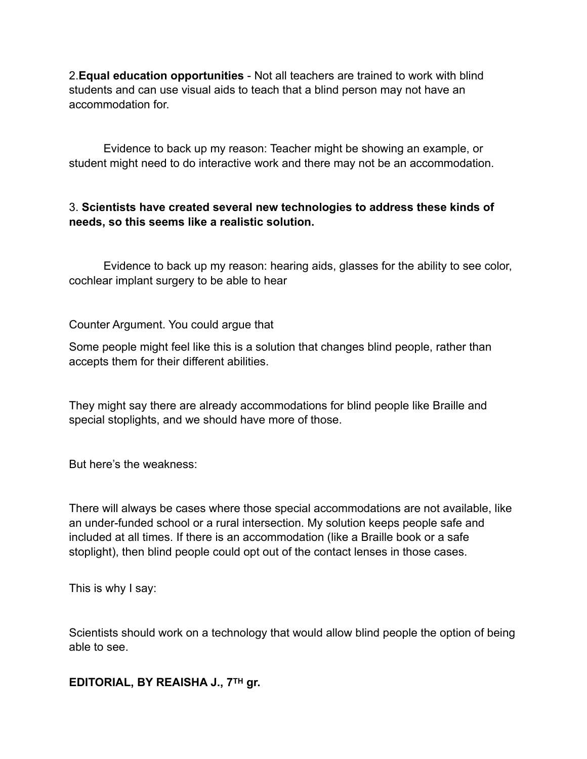2.**Equal education opportunities** - Not all teachers are trained to work with blind students and can use visual aids to teach that a blind person may not have an accommodation for.

Evidence to back up my reason: Teacher might be showing an example, or student might need to do interactive work and there may not be an accommodation.

## 3. **Scientists have created several new technologies to address these kinds of needs, so this seems like a realistic solution.**

Evidence to back up my reason: hearing aids, glasses for the ability to see color, cochlear implant surgery to be able to hear

Counter Argument. You could argue that

Some people might feel like this is a solution that changes blind people, rather than accepts them for their different abilities.

They might say there are already accommodations for blind people like Braille and special stoplights, and we should have more of those.

But here's the weakness:

There will always be cases where those special accommodations are not available, like an under-funded school or a rural intersection. My solution keeps people safe and included at all times. If there is an accommodation (like a Braille book or a safe stoplight), then blind people could opt out of the contact lenses in those cases.

This is why I say:

Scientists should work on a technology that would allow blind people the option of being able to see.

**EDITORIAL, BY REAISHA J., 7TH gr.**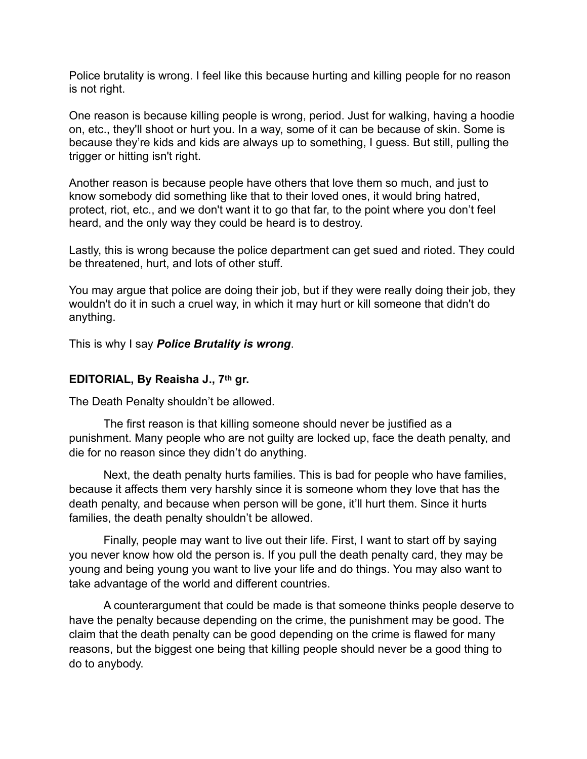Police brutality is wrong. I feel like this because hurting and killing people for no reason is not right.

One reason is because killing people is wrong, period. Just for walking, having a hoodie on, etc., they'll shoot or hurt you. In a way, some of it can be because of skin. Some is because they're kids and kids are always up to something, I guess. But still, pulling the trigger or hitting isn't right.

Another reason is because people have others that love them so much, and just to know somebody did something like that to their loved ones, it would bring hatred, protect, riot, etc., and we don't want it to go that far, to the point where you don't feel heard, and the only way they could be heard is to destroy.

Lastly, this is wrong because the police department can get sued and rioted. They could be threatened, hurt, and lots of other stuff.

You may argue that police are doing their job, but if they were really doing their job, they wouldn't do it in such a cruel way, in which it may hurt or kill someone that didn't do anything.

This is why I say *Police Brutality is wrong*.

#### **EDITORIAL, By Reaisha J., 7th gr.**

The Death Penalty shouldn't be allowed.

The first reason is that killing someone should never be justified as a punishment. Many people who are not guilty are locked up, face the death penalty, and die for no reason since they didn't do anything.

Next, the death penalty hurts families. This is bad for people who have families, because it affects them very harshly since it is someone whom they love that has the death penalty, and because when person will be gone, it'll hurt them. Since it hurts families, the death penalty shouldn't be allowed.

Finally, people may want to live out their life. First, I want to start off by saying you never know how old the person is. If you pull the death penalty card, they may be young and being young you want to live your life and do things. You may also want to take advantage of the world and different countries.

A counterargument that could be made is that someone thinks people deserve to have the penalty because depending on the crime, the punishment may be good. The claim that the death penalty can be good depending on the crime is flawed for many reasons, but the biggest one being that killing people should never be a good thing to do to anybody.